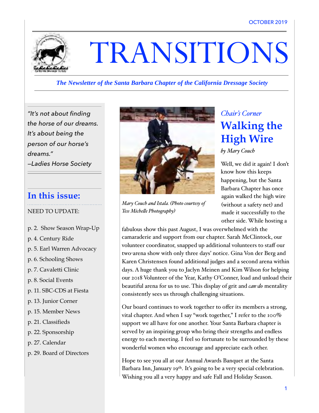

# TRANSITIONS

#### *The Newsletter of the Santa Barbara Chapter of the California Dressage Society*

*"It's not about finding the horse of our dreams. It's about being the person of our horse's dreams." —Ladies Horse Society* 

### **In this issue:**

NEED TO UPDATE:

- p. 2. Show Season Wrap-Up
- p. 4. Century Ride
- p. 5. Earl Warren Advocacy
- p. 6. Schooling Shows
- p. 7. Cavaletti Clinic
- p. 8. Social Events
- p. 11. SBC-CDS at Fiesta
- p. 13. Junior Corner
- p. 15. Member News
- p. 21. Classifieds
- p. 22. Sponsorship
- p. 27. Calendar
- p. 29. Board of Directors



*Mary Couch and Istala. (Photo courtesy of Tess Michele Photography)*

### *Chair's Corner* **Walking the High Wire**

*by Mary Couch*

Well, we did it again! I don't know how this keeps happening, but the Santa Barbara Chapter has once again walked the high wire (without a safety net) and made it successfully to the other side. While hosting a

fabulous show this past August, I was overwhelmed with the camaraderie and support from our chapter. Sarah McClintock, our volunteer coordinator, snapped up additional volunteers to staff our two-arena show with only three days' notice. Gina Von der Berg and Karen Christensen found additional judges and a second arena within days. A huge thank you to Jaclyn Meinen and Kim Wilson for helping our 2018 Volunteer of the Year, Kathy O'Conner, load and unload their beautiful arena for us to use. This display of grit and *can-do* mentality consistently sees us through challenging situations.

Our board continues to work together to offer its members a strong, vital chapter. And when I say "work together," I refer to the 100% support we all have for one another. Your Santa Barbara chapter is served by an inspiring group who bring their strengths and endless energy to each meeting. I feel so fortunate to be surrounded by these wonderful women who encourage and appreciate each other.

Hope to see you all at our Annual Awards Banquet at the Santa Barbara Inn, January 19th. It's going to be a very special celebration. Wishing you all a very happy and safe Fall and Holiday Season.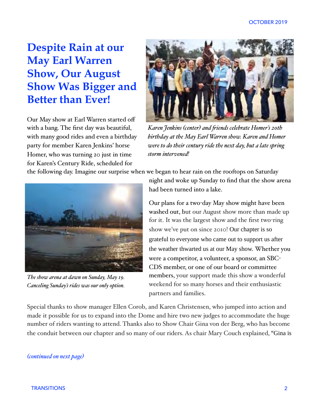### **Despite Rain at our May Earl Warren Show, Our August Show Was Bigger and Better than Ever!**

Our May show at Earl Warren started off with a bang. The first day was beautiful, with many good rides and even a birthday party for member Karen Jenkins' horse Homer, who was turning 20 just in time for Karen's Century Ride, scheduled for



*Karen Jenkins (center) and fiends celebrate Homer's 20th birthday at the May Earl Warren show. Karen and Homer were to do their century ride the next day, but a late spring storm intervened!*

the following day. Imagine our surprise when we began to hear rain on the rooftops on Saturday



*The show arena at dawn on Sunday, May 19. Canceling Sunday's rides was our only option.*

night and woke up Sunday to find that the show arena had been turned into a lake.

Our plans for a two-day May show might have been washed out, but our August show more than made up for it. It was the largest show and the first two-ring show we've put on since 2010! Our chapter is so grateful to everyone who came out to support us after the weather thwarted us at our May show. Whether you were a competitor, a volunteer, a sponsor, an SBC-CDS member, or one of our board or committee members, your support made this show a wonderful weekend for so many horses and their enthusiastic partners and families.

Special thanks to show manager Ellen Corob, and Karen Christensen, who jumped into action and made it possible for us to expand into the Dome and hire two new judges to accommodate the huge number of riders wanting to attend. Thanks also to Show Chair Gina von der Berg, who has become the conduit between our chapter and so many of our riders. As chair Mary Couch explained, "Gina is

#### *(continued on next page)*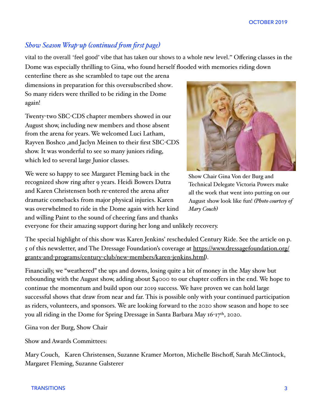#### *Show Season Wrap-up (continued fom first page)*

vital to the overall 'feel good' vibe that has taken our shows to a whole new level." Offering classes in the Dome was especially thrilling to Gina, who found herself flooded with memories riding down

centerline there as she scrambled to tape out the arena dimensions in preparation for this oversubscribed show. So many riders were thrilled to be riding in the Dome again!

Twenty-two SBC-CDS chapter members showed in our August show, including new members and those absent from the arena for years. We welcomed Luci Latham, Rayven Boshco ,and Jaclyn Meinen to their first SBC-CDS show. It was wonderful to see so many juniors riding, which led to several large Junior classes.

We were so happy to see Margaret Fleming back in the recognized show ring after 9 years. Heidi Bowers Dutra and Karen Christensen both re-entered the arena after dramatic comebacks from major physical injuries. Karen was overwhelmed to ride in the Dome again with her kind and willing Paint to the sound of cheering fans and thanks



Show Chair Gina Von der Burg and Technical Delegate Victoria Powers make all the work that went into putting on our August show look like fun! *(Photo courtesy of Mary Couch)*

everyone for their amazing support during her long and unlikely recovery.

The special highlight of this show was Karen Jenkins' rescheduled Century Ride. See the article on p. 5 of this newsletter, and The Dressage Foundation's coverage at [https://www.dressagefoundation.org/](https://www.dressagefoundation.org/grants-and-programs/century-club/new-members/karen-jenkins.html) grants-and-[programs/century](https://www.dressagefoundation.org/grants-and-programs/century-club/new-members/karen-jenkins.html)-club/new-members/karen-jenkins.html).

Financially, we "weathered" the ups and downs, losing quite a bit of money in the May show but rebounding with the August show, adding about \$4000 to our chapter coffers in the end. We hope to continue the momentum and build upon our 2019 success. We have proven we can hold large successful shows that draw from near and far. This is possible only with your continued participation as riders, volunteers, and sponsors. We are looking forward to the 2020 show season and hope to see you all riding in the Dome for Spring Dressage in Santa Barbara May 16-17<sup>th</sup>, 2020.

Gina von der Burg, Show Chair

Show and Awards Committees:

Mary Couch, Karen Christensen, Suzanne Kramer Morton, Michelle Bischoff, Sarah McClintock, Margaret Fleming, Suzanne Galsterer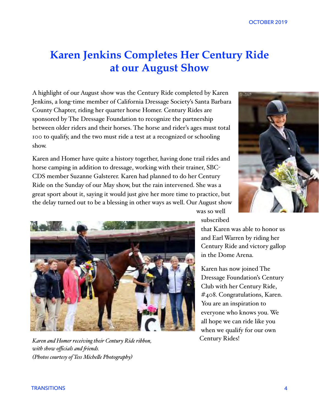### **Karen Jenkins Completes Her Century Ride at our August Show**

A highlight of our August show was the Century Ride completed by Karen Jenkins, a long-time member of California Dressage Society's Santa Barbara County Chapter, riding her quarter horse Homer. Century Rides are sponsored by The Dressage Foundation to recognize the partnership between older riders and their horses. The horse and rider's ages must total 100 to qualify, and the two must ride a test at a recognized or schooling show.

Karen and Homer have quite a history together, having done trail rides and horse camping in addition to dressage, working with their trainer, SBC-CDS member Suzanne Galsterer. Karen had planned to do her Century Ride on the Sunday of our May show, but the rain intervened. She was a great sport about it, saying it would just give her more time to practice, but the delay turned out to be a blessing in other ways as well. Our August show





*Karen and Homer receiving their Century Ride ribbon, Century Rides! with show officials and fiends. (Photos courtesy of Tess Michele Photography)*

subscribed

was so well

that Karen was able to honor us and Earl Warren by riding her Century Ride and victory gallop in the Dome Arena.

Karen has now joined The Dressage Foundation's Century Club with her Century Ride, #408. Congratulations, Karen. You are an inspiration to everyone who knows you. We all hope we can ride like you when we qualify for our own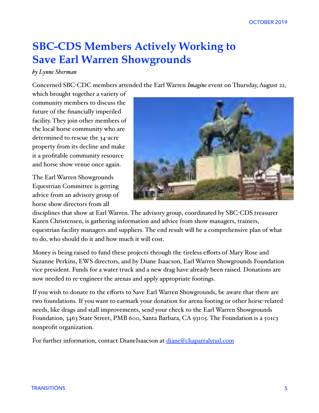### **SBC-CDS Members Actively Working to Save Earl Warren Showgrounds**

#### *by Lynne Sherman*

Concerned SBC-CDC members attended the Earl Warren *Imagine* event on Thursday, August 22,

which brought together a variety of community members to discuss the future of the financially imperiled facility. They join other members of the local horse community who are determined to rescue the 34-acre property from its decline and make it a profitable community resource and horse show venue once again.

The Earl Warren Showgrounds Equestrian Committee is getting advice from an advisory group of horse show directors from all



disciplines that show at Earl Warren. The advisory group, coordinated by SBC-CDS treasurer Karen Christensen, is gathering information and advice from show managers, trainers, equestrian facility managers and suppliers. The end result will be a comprehensive plan of what to do, who should do it and how much it will cost.

Money is being raised to fund these projects through the tireless efforts of Mary Rose and Suzanne Perkins, EWS directors, and by Diane Isaacson, Earl Warren Showgrounds Foundation vice president. Funds for a water truck and a new drag have already been raised. Donations are now needed to re-engineer the arenas and apply appropriate footings.

If you wish to donate to the efforts to Save Earl Warren Showgrounds, be aware that there are two foundations. If you want to earmark your donation for arena footing or other horse-related needs, like drags and stall improvements, send your check to the Earl Warren Showgrounds Foundation, 3463 State Street, PMB 600, Santa Barbara, CA 93105. The Foundation is a 501c3 nonprofit organization.

For further information, contact DianeIsaacson at [diane@chaparralstud.com](mailto:diane@chaparralstud.com)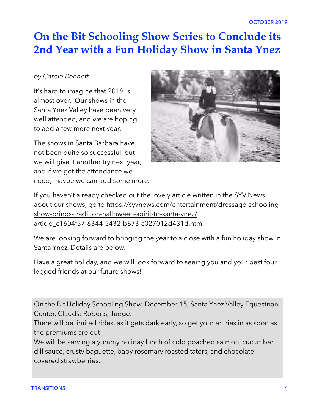### **On the Bit Schooling Show Series to Conclude its 2nd Year with a Fun Holiday Show in Santa Ynez**

#### *by Carole Bennett*

It's hard to imagine that 2019 is almost over. Our shows in the Santa Ynez Valley have been very well attended, and we are hoping to add a few more next year.

The shows in Santa Barbara have not been quite so successful, but we will give it another try next year, and if we get the attendance we need, maybe we can add some more.



If you haven't already checked out the lovely article written in the SYV News [about our shows, go to https://syvnews.com/entertainment/dressage-schooling](https://syvnews.com/entertainment/dressage-schooling-show-brings-tradition-halloween-spirit-to-santa-ynez/article_c1604f57-6344-5432-b873-c027012d431d.html)[show-brings-tradition-halloween-spirit-to-santa-ynez/](https://syvnews.com/entertainment/dressage-schooling-show-brings-tradition-halloween-spirit-to-santa-ynez/article_c1604f57-6344-5432-b873-c027012d431d.html) [article\\_c1604f57-6344-5432-b873-c027012d431d.html](https://syvnews.com/entertainment/dressage-schooling-show-brings-tradition-halloween-spirit-to-santa-ynez/article_c1604f57-6344-5432-b873-c027012d431d.html)

We are looking forward to bringing the year to a close with a fun holiday show in Santa Ynez. Details are below.

Have a great holiday, and we will look forward to seeing you and your best four legged friends at our future shows!

On the Bit Holiday Schooling Show. December 15, Santa Ynez Valley Equestrian Center. Claudia Roberts, Judge.

There will be limited rides, as it gets dark early, so get your entries in as soon as the premiums are out!

We will be serving a yummy holiday lunch of cold poached salmon, cucumber dill sauce, crusty baguette, baby rosemary roasted taters, and chocolatecovered strawberries.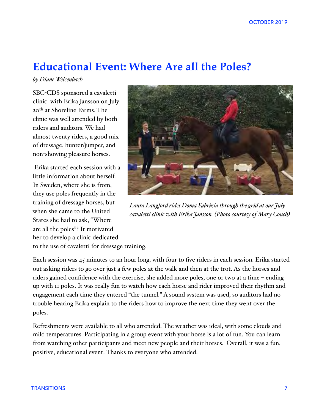### **Educational Event: Where Are all the Poles?**

*by Diane Welcenbach* 

SBC-CDS sponsored a cavaletti clinic with Erika Jansson on July 20th at Shoreline Farms. The clinic was well attended by both riders and auditors. We had almost twenty riders, a good mix of dressage, hunter/jumper, and non-showing pleasure horses.

 Erika started each session with a little information about herself. In Sweden, where she is from, they use poles frequently in the training of dressage horses, but when she came to the United States she had to ask, "Where are all the poles"? It motivated her to develop a clinic dedicated



*Laura Langford rides Doma Fabrizia through the grid at our July cavaletti clinic with Erika Jansson. (Photo courtesy of Mary Couch)*

to the use of cavaletti for dressage training.

Each session was 45 minutes to an hour long, with four to five riders in each session. Erika started out asking riders to go over just a few poles at the walk and then at the trot. As the horses and riders gained confidence with the exercise, she added more poles, one or two at a time – ending up with 11 poles. It was really fun to watch how each horse and rider improved their rhythm and engagement each time they entered "the tunnel." A sound system was used, so auditors had no trouble hearing Erika explain to the riders how to improve the next time they went over the poles.

Refreshments were available to all who attended. The weather was ideal, with some clouds and mild temperatures. Participating in a group event with your horse is a lot of fun. You can learn from watching other participants and meet new people and their horses. Overall, it was a fun, positive, educational event. Thanks to everyone who attended.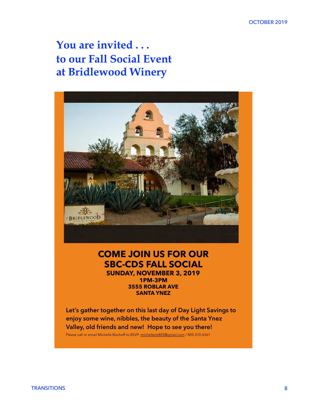**You are invited . . . to our Fall Social Event at Bridlewood Winery**



#### **COME JOIN US FOR OUR SBC-CDS FALL SOCIAL SUNDAY, NOVEMBER 3, 2019 1PM-3PM 3555 ROBLAR AVE SANTA YNEZ**

**Let's gather together on this last day of Day Light Savings to enjoy some wine, nibbles, the beauty of the Santa Ynez Valley, old friends and new! Hope to see you there!**  Please call or email Michelle Bischoff to RSVP: michellecb805@gmail.com / 805.570.4361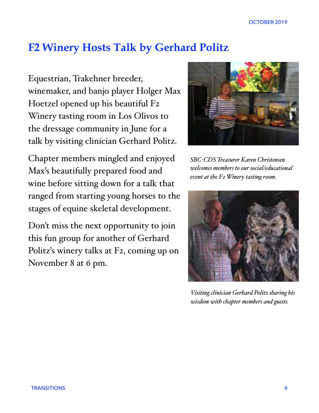### **F2 Winery Hosts Talk by Gerhard Politz**

Equestrian, Trakehner breeder, winemaker, and banjo player Holger Max Hoetzel opened up his beautiful F2 Winery tasting room in Los Olivos to the dressage community in June for a talk by visiting clinician Gerhard Politz.

Chapter members mingled and enjoyed Max's beautifully prepared food and wine before sitting down for a talk that ranged from starting young horses to the stages of equine skeletal development.

Don't miss the next opportunity to join this fun group for another of Gerhard Politz's winery talks at F2, coming up on November 8 at 6 pm.



*SBC-CDS Treasurer Karen Christensen welcomes members to our social/educational event at the F2 Winery tasting room.*



*Visiting clinician Gerhard Politz sharing his wisdom with chapter members and guests.*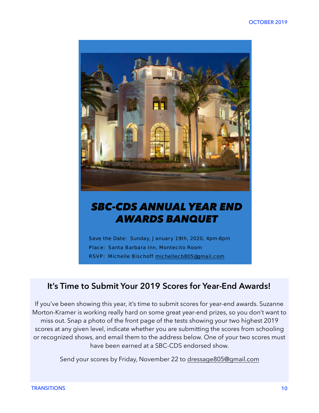

### *SBC-CDS ANNUAL YEAR END AWARDS BANQUET*

Save the Date: Sunday, January 19th, 2020, 4pm-8pm Place: Santa Barbara Inn, Montecito Room RSVP: Michelle Bischoff michellecb805@gmail.com

### **It's Time to Submit Your 2019 Scores for Year-End Awards!**

If you've been showing this year, it's time to submit scores for year-end awards. Suzanne Morton-Kramer is working really hard on some great year-end prizes, so you don't want to miss out. Snap a photo of the front page of the tests showing your two highest 2019 scores at any given level, indicate whether you are submitting the scores from schooling or recognized shows, and email them to the address below. One of your two scores must have been earned at a SBC-CDS endorsed show.

Send your scores by Friday, November 22 to [dressage805@gmail.com](mailto:dressage805@gmail.com)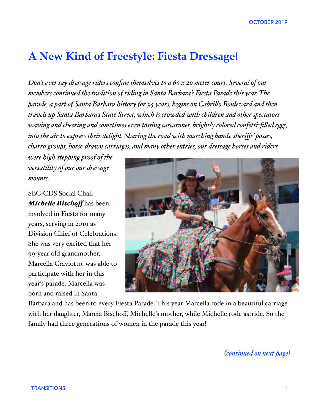### **A New Kind of Freestyle: Fiesta Dressage!**

*Don't ever say dressage riders confine themselves to a 60 x 20 meter court. Several of our members continued the tradition of riding in Santa Barbara's Fiesta Parade this year. The parade, a part of Santa Barbara history for 95 years, begins on Cabrilo Boulevard and then travels up Santa Barbara's State Street, which is crowded with children and other spectators waving and cheering and sometimes even tossing cascarones, brightly colored confetti-filed egs, into the air to express their delight. Sharing the road with marching bands, sheriffs' posses, charro groups, horse-drawn carriages, and many other entries, our dressage horses and riders* 

*were high-stepping proof of the versatility of our our dressage mounts.* 

SBC-CDS Social Chair *Michele Bischof* has been involved in Fiesta for many years, serving in 2019 as Division Chief of Celebrations. She was very excited that her 99-year old grandmother, Marcella Craviotto, was able to participate with her in this year's parade. Marcella was born and raised in Santa



Barbara and has been to every Fiesta Parade. This year Marcella rode in a beautiful carriage with her daughter, Marcia Bischoff, Michelle's mother, while Michelle rode astride. So the family had three generations of women in the parade this year!

*(continued on next page)*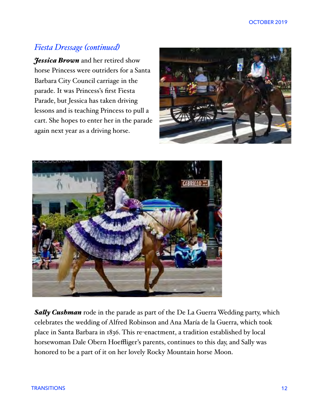### *Fiesta Dressage (continued)*

*Jessica Brown* and her retired show horse Princess were outriders for a Santa Barbara City Council carriage in the parade. It was Princess's first Fiesta Parade, but Jessica has taken driving lessons and is teaching Princess to pull a cart. She hopes to enter her in the parade again next year as a driving horse.





*Saly Cushman* rode in the parade as part of the De La Guerra Wedding party, which celebrates the wedding of Alfred Robinson and Ana María de la Guerra, which took place in Santa Barbara in 1836. This re-enactment, a tradition established by local horsewoman Dale Obern Hoeffliger's parents, continues to this day, and Sally was honored to be a part of it on her lovely Rocky Mountain horse Moon.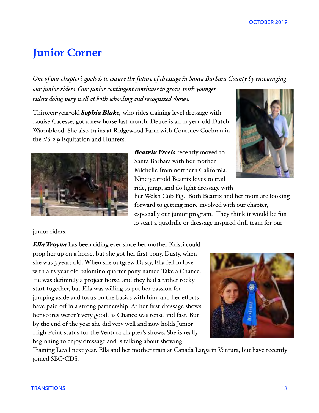### **Junior Corner**

*One of our chapter's goals is to ensure the future of dressage in Santa Barbara County by encouraging our junior riders. Our junior contingent continues to grow, with younger riders doing very wel at both schooling and recognized shows.* 

Thirteen-year-old *Sophia Blake,* who rides training level dressage with Louise Cacesse, got a new horse last month. Deuce is an-11 year-old Dutch Warmblood. She also trains at Ridgewood Farm with Courtney Cochran in the 2'6-2'9 Equitation and Hunters.



*Beatrix Freels* recently moved to Santa Barbara with her mother Michelle from northern California. Nine-year-old Beatrix loves to trail ride, jump, and do light dressage with



her Welsh Cob Fig. Both Beatrix and her mom are looking forward to getting more involved with our chapter, especially our junior program. They think it would be fun to start a quadrille or dressage inspired drill team for our

junior riders.

*Ela Troyna* has been riding ever since her mother Kristi could prop her up on a horse, but she got her first pony, Dusty, when she was 3 years old. When she outgrew Dusty, Ella fell in love with a 12-year-old palomino quarter pony named Take a Chance. He was definitely a project horse, and they had a rather rocky start together, but Ella was willing to put her passion for jumping aside and focus on the basics with him, and her efforts have paid off in a strong partnership. At her first dressage shows her scores weren't very good, as Chance was tense and fast. But by the end of the year she did very well and now holds Junior High Point status for the Ventura chapter's shows. She is really beginning to enjoy dressage and is talking about showing



Training Level next year. Ella and her mother train at Canada Larga in Ventura, but have recently joined SBC-CDS.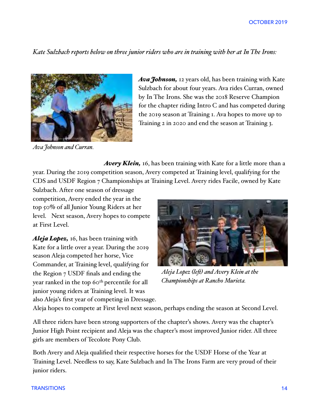*Kate Sulzbach reports below on three junior riders who are in training with her at In The Irons:* 



*Ava Johnson and Curran.*

*Ava Johnson,* 12 years old, has been training with Kate Sulzbach for about four years. Ava rides Curran, owned by In The Irons. She was the 2018 Reserve Champion for the chapter riding Intro C and has competed during the 2019 season at Training 1. Ava hopes to move up to Training 2 in 2020 and end the season at Training 3.

*Avery Klein,* 16, has been training with Kate for a little more than a year. During the 2019 competition season, Avery competed at Training level, qualifying for the CDS and USDF Region 7 Championships at Training Level. Avery rides Facile, owned by Kate

Sulzbach. After one season of dressage competition, Avery ended the year in the top 50% of all Junior Young Riders at her level. Next season, Avery hopes to compete at First Level.

*Aleja Lopez,* 16, has been training with Kate for a little over a year. During the 2019 season Aleja competed her horse, Vice Commander, at Training level, qualifying for the Region 7 USDF finals and ending the year ranked in the top 60th percentile for all junior young riders at Training level. It was also Aleja's first year of competing in Dressage.



*Aleja Lopez (lef) and Avery Klein at the Championships at Rancho Murieta.*

Aleja hopes to compete at First level next season, perhaps ending the season at Second Level.

All three riders have been strong supporters of the chapter's shows. Avery was the chapter's Junior High Point recipient and Aleja was the chapter's most improved Junior rider. All three girls are members of Tecolote Pony Club.

Both Avery and Aleja qualified their respective horses for the USDF Horse of the Year at Training Level. Needless to say, Kate Sulzbach and In The Irons Farm are very proud of their junior riders.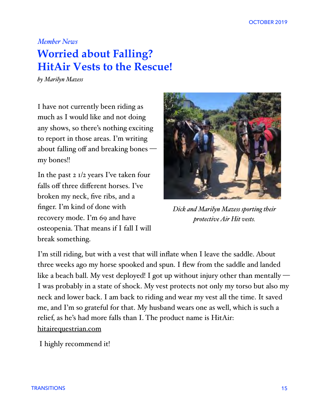#### *Member News*

### **Worried about Falling? HitAir Vests to the Rescue!**

*by Marilyn Mazess*

I have not currently been riding as much as I would like and not doing any shows, so there's nothing exciting to report in those areas. I'm writing about falling off and breaking bones my bones!!

In the past 2 1/2 years I've taken four falls off three different horses. I've broken my neck, five ribs, and a finger. I'm kind of done with recovery mode. I'm 69 and have osteopenia. That means if I fall I will break something.



*Dick and Marilyn Mazess sporting their protective Air Hit vests.* 

I'm still riding, but with a vest that will inflate when I leave the saddle. About three weeks ago my horse spooked and spun. I flew from the saddle and landed like a beach ball. My vest deployed! I got up without injury other than mentally — I was probably in a state of shock. My vest protects not only my torso but also my neck and lower back. I am back to riding and wear my vest all the time. It saved me, and I'm so grateful for that. My husband wears one as well, which is such a relief, as he's had more falls than I. The product name is HitAir: [hitairequestrian.com](http://hitairequestrian.com)

I highly recommend it!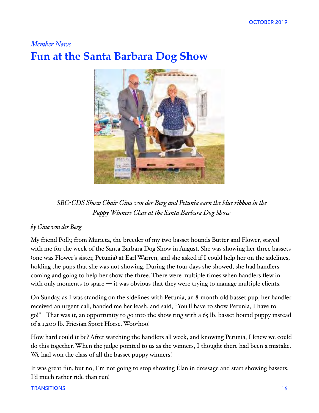### *Member News* **Fun at the Santa Barbara Dog Show**



*SBC-CDS Show Chair Gina von der Berg and Petunia earn the blue ribbon in the Puppy Winners Class at the Santa Barbara Dog Show*

#### *by Gina von der Berg*

My friend Polly, from Murieta, the breeder of my two basset hounds Butter and Flower, stayed with me for the week of the Santa Barbara Dog Show in August. She was showing her three bassets (one was Flower's sister, Petunia) at Earl Warren, and she asked if I could help her on the sidelines, holding the pups that she was not showing. During the four days she showed, she had handlers coming and going to help her show the three. There were multiple times when handlers flew in with only moments to spare  $\frac{d}{dx}$  it was obvious that they were trying to manage multiple clients.

On Sunday, as I was standing on the sidelines with Petunia, an 8-month-old basset pup, her handler received an urgent call, handed me her leash, and said, "You'll have to show Petunia, I have to go!" That was it, an opportunity to go into the show ring with a 65 lb. basset hound puppy instead of a 1,200 lb. Friesian Sport Horse. Woo-hoo!

How hard could it be? After watching the handlers all week, and knowing Petunia, I knew we could do this together. When the judge pointed to us as the winners, I thought there had been a mistake. We had won the class of all the basset puppy winners!

It was great fun, but no, I'm not going to stop showing Élan in dressage and start showing bassets. I'd much rather ride than run!

#### TRANSITIONS 16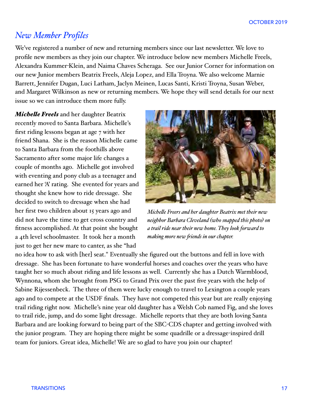### *New Member Profiles*

We've registered a number of new and returning members since our last newsletter. We love to profile new members as they join our chapter. We introduce below new members Michelle Freels, Alexandra Kummer-Klein, and Naima Chaves Scheraga. See our Junior Corner for information on our new Junior members Beatrix Freels, Aleja Lopez, and Ella Troyna. We also welcome Marnie Barrett, Jennifer Dugan, Luci Latham, Jaclyn Meinen, Lucas Santi, Kristi Troyna, Susan Weber, and Margaret Wilkinson as new or returning members. We hope they will send details for our next issue so we can introduce them more fully.

*Michele Freels* and her daughter Beatrix recently moved to Santa Barbara. Michelle's first riding lessons began at age 7 with her friend Shana. She is the reason Michelle came to Santa Barbara from the foothills above Sacramento after some major life changes a couple of months ago. Michelle got involved with eventing and pony club as a teenager and earned her 'A' rating. She evented for years and thought she knew how to ride dressage. She decided to switch to dressage when she had her first two children about 15 years ago and did not have the time to get cross country and fitness accomplished. At that point she bought a 4th level schoolmaster. It took her a month just to get her new mare to canter, as she "had



*Michele Freers and her daughter Beatrix met their new neighbor Barbara Cleveland (who snapped this photo) on a trail ride near their new home. They look forward to making more new fiends in our chapter.*

no idea how to ask with [her] seat." Eventually she figured out the buttons and fell in love with dressage. She has been fortunate to have wonderful horses and coaches over the years who have taught her so much about riding and life lessons as well. Currently she has a Dutch Warmblood, Wynnona, whom she brought from PSG to Grand Prix over the past five years with the help of Sabine Rijessenbeck. The three of them were lucky enough to travel to Lexington a couple years ago and to compete at the USDF finals. They have not competed this year but are really enjoying trail riding right now. Michelle's nine year old daughter has a Welsh Cob named Fig, and she loves to trail ride, jump, and do some light dressage. Michelle reports that they are both loving Santa Barbara and are looking forward to being part of the SBC-CDS chapter and getting involved with the junior program. They are hoping there might be some quadrille or a dressage-inspired drill team for juniors. Great idea, Michelle! We are so glad to have you join our chapter!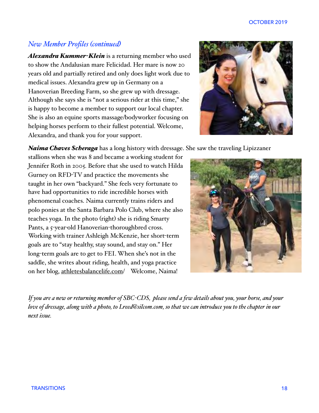#### *New Member Profiles (continued)*

*Alexandra Kummer-Klein* is a returning member who used to show the Andalusian mare Felicidad. Her mare is now 20 years old and partially retired and only does light work due to medical issues. Alexandra grew up in Germany on a Hanoverian Breeding Farm, so she grew up with dressage. Although she says she is "not a serious rider at this time," she is happy to become a member to support our local chapter. She is also an equine sports massage/bodyworker focusing on helping horses perform to their fullest potential. Welcome, Alexandra, and thank you for your support.



*Naima Chaves Scheraga* has a long history with dressage. She saw the traveling Lipizzaner

stallions when she was 8 and became a working student for Jennifer Roth in 2005. Before that she used to watch Hilda Gurney on RFD-TV and practice the movements she taught in her own "backyard." She feels very fortunate to have had opportunities to ride incredible horses with phenomenal coaches. Naima currently trains riders and polo ponies at the Santa Barbara Polo Club, where she also teaches yoga. In the photo (right) she is riding Smarty Pants, a 5-year-old Hanoverian-thoroughbred cross. Working with trainer Ashleigh McKenzie, her short-term goals are to "stay healthy, stay sound, and stay on." Her long-term goals are to get to FEI. When she's not in the saddle, she writes about riding, health, and yoga practice on her blog, [athletesbalancelife.com/](http://athletesbalancelife.com) Welcome, Naima!



*If you are a new or returning member of SBC-CDS, please send a few details about you, your horse, and your love of dressage, along with a photo, to Lreed@silcom.com, so that we can introduce you to the chapter in our next issue.*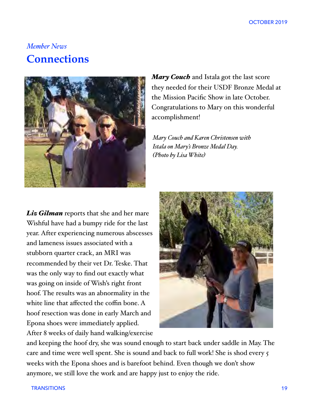### *Member News* **Connections**



*Mary Couch* and Istala got the last score they needed for their USDF Bronze Medal at the Mission Pacific Show in late October. Congratulations to Mary on this wonderful accomplishment!

*Mary Couch and Karen Christensen with Istala on Mary's Bronze Medal Day. (Photo by Lisa White)*

*Liz Gilman* reports that she and her mare Wishful have had a bumpy ride for the last year. After experiencing numerous abscesses and lameness issues associated with a stubborn quarter crack, an MRI was recommended by their vet Dr. Teske. That was the only way to find out exactly what was going on inside of Wish's right front hoof. The results was an abnormality in the white line that affected the coffin bone. A hoof resection was done in early March and Epona shoes were immediately applied. After 8 weeks of daily hand walking/exercise



and keeping the hoof dry, she was sound enough to start back under saddle in May. The care and time were well spent. She is sound and back to full work! She is shod every 5 weeks with the Epona shoes and is barefoot behind. Even though we don't show anymore, we still love the work and are happy just to enjoy the ride.

TRANSITIONS 19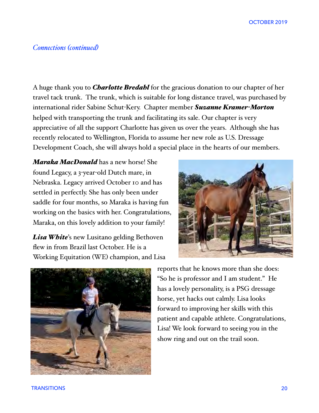#### *Connections (continued)*

A huge thank you to *Charlotte Bredahl* for the gracious donation to our chapter of her travel tack trunk. The trunk, which is suitable for long distance travel, was purchased by international rider Sabine Schut-Kery. Chapter member *Suzanne Kramer-Morton* helped with transporting the trunk and facilitating its sale. Our chapter is very appreciative of all the support Charlotte has given us over the years. Although she has recently relocated to Wellington, Florida to assume her new role as U.S. Dressage Development Coach, she will always hold a special place in the hearts of our members.

*Maraka MacDonald* has a new horse! She found Legacy, a 3-year-old Dutch mare, in Nebraska. Legacy arrived October 10 and has settled in perfectly. She has only been under saddle for four months, so Maraka is having fun working on the basics with her. Congratulations, Maraka, on this lovely addition to your family!

*Lisa White*'s new Lusitano gelding Bethoven flew in from Brazil last October. He is a Working Equitation (WE) champion, and Lisa





reports that he knows more than she does: "So he is professor and I am student." He has a lovely personality, is a PSG dressage horse, yet hacks out calmly. Lisa looks forward to improving her skills with this patient and capable athlete. Congratulations, Lisa! We look forward to seeing you in the show ring and out on the trail soon.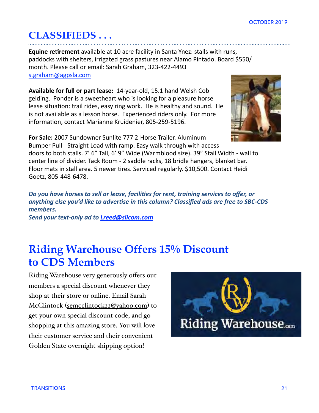### **CLASSIFIEDS . . .**

**Equine retirement** available at 10 acre facility in Santa Ynez: stalls with runs, paddocks with shelters, irrigated grass pastures near Alamo Pintado. Board \$550/ month. Please call or email: Sarah Graham, 323-422-4493 [s.graham@agpsla.com](mailto:s.graham@agpsla.com)

**Available for full or part lease: 14-year-old, 15.1 hand Welsh Cob** gelding. Ponder is a sweetheart who is looking for a pleasure horse lease situation: trail rides, easy ring work. He is healthy and sound. He is not available as a lesson horse. Experienced riders only. For more information, contact Marianne Kruidenier, 805-259-5196.



**For Sale:** 2007 Sundowner Sunlite 777 2-Horse Trailer. Aluminum Bumper Pull - Straight Load with ramp. Easy walk through with access doors to both stalls. 7' 6" Tall, 6' 9" Wide (Warmblood size). 39" Stall Width - wall to center line of divider. Tack Room - 2 saddle racks, 18 bridle hangers, blanket bar. Floor mats in stall area. 5 newer tires. Serviced regularly. \$10,500. Contact Heidi Goetz, 805-448-6478.

Do you have horses to sell or lease, facilities for rent, training services to offer, or anything else you'd like to advertise in this column? Classified ads are free to SBC-CDS *members.* 

*Send your text-only ad to [Lreed@silcom.com](mailto:Lreed@silcom.com)*

### **Riding Warehouse Offers 15% Discount to CDS Members**

Riding Warehouse very generously offers our members a special discount whenever they shop at their store or online. Email Sarah McClintock ([semcclintock22@yahoo.com](mailto:semcclintock22@yahoo.com)) to get your own special discount code, and go shopping at this amazing store. You will love their customer service and their convenient Golden State overnight shipping option!

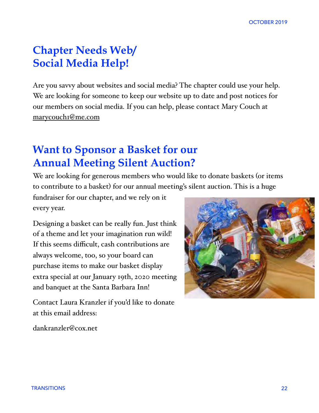### **Chapter Needs Web/ Social Media Help!**

Are you savvy about websites and social media? The chapter could use your help. We are looking for someone to keep our website up to date and post notices for our members on social media. If you can help, please contact Mary Couch at [marycouch1@me.com](mailto:marycouch1@me.co)

### **Want to Sponsor a Basket for our Annual Meeting Silent Auction?**

We are looking for generous members who would like to donate baskets (or items to contribute to a basket) for our annual meeting's silent auction. This is a huge

fundraiser for our chapter, and we rely on it every year.

Designing a basket can be really fun. Just think of a theme and let your imagination run wild! If this seems difficult, cash contributions are always welcome, too, so your board can purchase items to make our basket display extra special at our January 19th, 2020 meeting and banquet at the Santa Barbara Inn!

Contact Laura Kranzler if you'd like to donate at this email address:



dankranzler@cox.net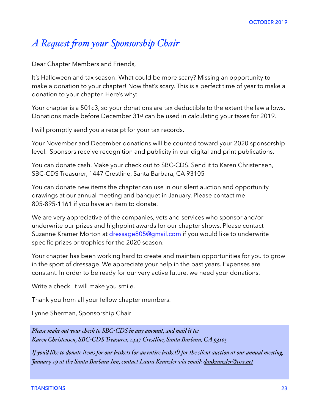### *A Request fom your Sponsorship Chair*

Dear Chapter Members and Friends,

It's Halloween and tax season! What could be more scary? Missing an opportunity to make a donation to your chapter! Now that's scary. This is a perfect time of year to make a donation to your chapter. Here's why:

Your chapter is a 501c3, so your donations are tax deductible to the extent the law allows. Donations made before December 31st can be used in calculating your taxes for 2019.

I will promptly send you a receipt for your tax records.

Your November and December donations will be counted toward your 2020 sponsorship level. Sponsors receive recognition and publicity in our digital and print publications.

You can donate cash. Make your check out to SBC-CDS. Send it to Karen Christensen, SBC-CDS Treasurer, 1447 Crestline, Santa Barbara, CA 93105

You can donate new items the chapter can use in our silent auction and opportunity drawings at our annual meeting and banquet in January. Please contact me 805-895-1161 if you have an item to donate.

We are very appreciative of the companies, vets and services who sponsor and/or underwrite our prizes and highpoint awards for our chapter shows. Please contact Suzanne Kramer Morton at [dressage805@gmail.com](mailto:dressage805@gmail.com) if you would like to underwrite specific prizes or trophies for the 2020 season.

Your chapter has been working hard to create and maintain opportunities for you to grow in the sport of dressage. We appreciate your help in the past years. Expenses are constant. In order to be ready for our very active future, we need your donations.

Write a check. It will make you smile.

Thank you from all your fellow chapter members.

Lynne Sherman, Sponsorship Chair

*Please make out your check to SBC-CDS in any amount, and mail it to: Karen Christensen, SBC-CDS Treasurer, 1447 Crestline, Santa Barbara, CA 93105*

*If you'd like to donate items for our baskets (or an entire basket!) for the silent auction at our annual meeting, January 19 at the Santa Barbara Inn, contact Laura Kranzler via email: [dankranzler@cox.net](mailto:dankranzler@cox.net)*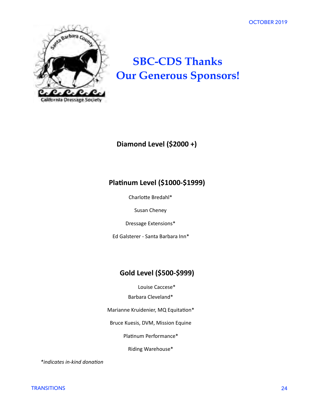OCTOBER 2019



### **SBC-CDS Thanks Our Generous Sponsors!**

### **Diamond Level (\$2000 +)**

#### **Platinum Level (\$1000-\$1999)**

Charlotte Bredahl\*

Susan Cheney

Dressage Extensions\* 

Ed Galsterer - Santa Barbara Inn\*

### Gold Level (\$500-\$999)

Louise Caccese\*

Barbara Cleveland\* 

Marianne Kruidenier, MQ Equitation\*

Bruce Kuesis, DVM, Mission Equine

Platinum Performance\*

Riding Warehouse\* 

 $*$ *indicates in-kind donation*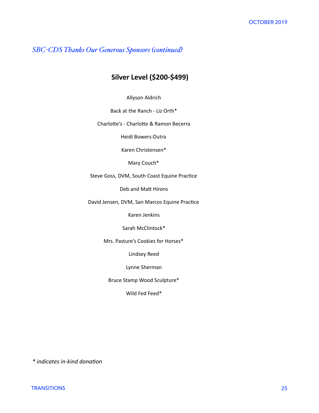#### *SBC-CDS Thanks Our Generous Sponsors (continued)*

#### **Silver Level (\$200-\$499)**

Allyson Aldrich 

Back at the Ranch - Liz Orth\*

Charlotte's - Charlotte & Ramon Becerra

Heidi Bowers-Dutra

Karen Christensen\* 

Mary Couch\*

Steve Goss, DVM, South Coast Equine Practice

Deb and Matt Hirons

David Jensen, DVM, San Marcos Equine Practice

Karen Jenkins 

Sarah McClintock\*

Mrs. Pasture's Cookies for Horses\*

Lindsey Reed 

Lynne Sherman 

Bruce Stamp Wood Sculpture\* 

Wild Fed Feed\*

 $*$  *indicates in-kind donation*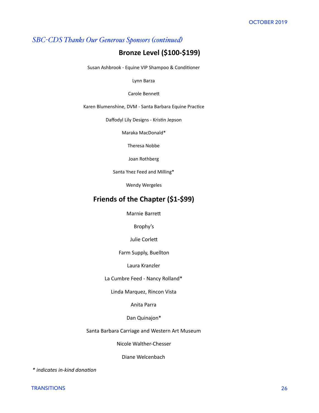#### *SBC-CDS Thanks Our Generous Sponsors (continued)*

#### **Bronze Level (\$100-\$199)**

Susan Ashbrook - Equine VIP Shampoo & Conditioner

Lynn Barza 

#### Carole Bennett

Karen Blumenshine, DVM - Santa Barbara Equine Practice

Daffodyl Lily Designs - Kristin Jepson

Maraka MacDonald\* 

Theresa Nobbe 

Joan Rothberg 

Santa Ynez Feed and Milling\*

Wendy Wergeles

#### **Friends of the Chapter (\$1-\$99)**

Marnie Barrett

Brophy's 

Julie Corlett

Farm Supply, Buellton

Laura Kranzler 

La Cumbre Feed - Nancy Rolland\*

Linda Marquez, Rincon Vista 

Anita Parra 

#### Dan Quinajon\*

Santa Barbara Carriage and Western Art Museum

Nicole Walther-Chesser 

Diane Welcenbach 

 $*$  indicates in-kind donation

TRANSITIONS 26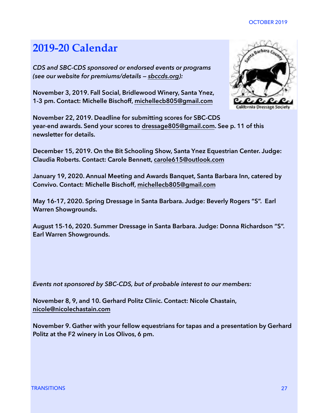#### OCTOBER 2019

### **2019-20 Calendar**

*CDS and SBC-CDS sponsored or endorsed events or programs (see our website for premiums/details — [sbccds.org](http://sbccds.org)):* 

**November 3, 2019. Fall Social, Bridlewood Winery, Santa Ynez, 1-3 pm. Contact: Michelle Bischoff, [michellecb805@gmail.com](mailto:michellecb805@gmail.com)** 

**November 22, 2019. Deadline for submitting scores for SBC-CDS year-end awards. Send your scores to [dressage805@gmail.com](mailto:dressage805@gmail.com). See p. 11 of this newsletter for details.** 

**December 15, 2019. On the Bit Schooling Show, Santa Ynez Equestrian Center. Judge: Claudia Roberts. Contact: Carole Bennett, [carole615@outlook.com](mailto:carole615@outlook.com)**

**January 19, 2020. Annual Meeting and Awards Banquet, Santa Barbara Inn, catered by Convivo. Contact: Michelle Bischoff, [michellecb805@gmail.com](mailto:michellecb805@gmail.com)**

**May 16-17, 2020. Spring Dressage in Santa Barbara. Judge: Beverly Rogers "S". Earl Warren Showgrounds.** 

**August 15-16, 2020. Summer Dressage in Santa Barbara. Judge: Donna Richardson "S". Earl Warren Showgrounds.** 

*Events not sponsored by SBC-CDS, but of probable interest to our members:* 

**November 8, 9, and 10. Gerhard Politz Clinic. Contact: Nicole Chastain, [nicole@nicolechastain.com](mailto:nicole@nicolechastain.com)**

**November 9. Gather with your fellow equestrians for tapas and a presentation by Gerhard Politz at the F2 winery in Los Olivos, 6 pm.**